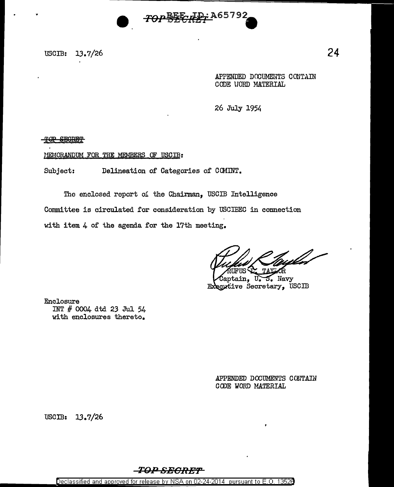

USCIB: 13.7/26

APPENDED DOCUMENTS CONTAIN CODE VORD MATERIAL

26 July 1954

TOP SECRET

MEMORANDUM FOR THE MEMBERS OF USCIB:

Subject: Delineation of Categories of COMINT.

The enclosed report *oi* the Chairman, USCIB Intelligence Committee is circulated for consideration by USCIBEC in connection with item 4 of the agenda for the 17th meeting.

TAXIOR

Captain, U.S. Navy Executive Secretary, USCIB

Enclosure INT # 0004 d td 23 Jul 54. with enclosures thereto.

> APPENDED DOCUMENTS CONTAIN GODE WORD MATERIAL

USCIB:  $13.7/26$ 



Declassified and approved for release by NSA on 02-24-2014 pursuant to E. 0. 1352B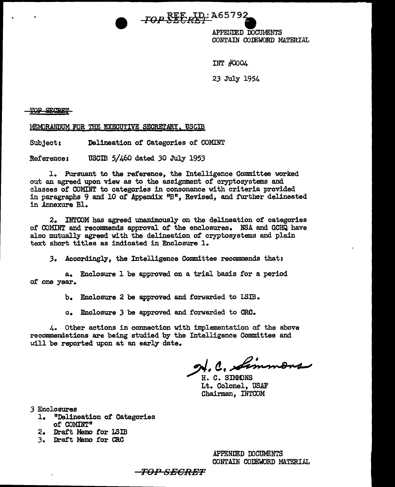

APPEUDED DOCUMENTS CONTAIN CODEWORD MATERIAL

Ilt'r #0004

23 July 1954

TOP SECRET

MEMORANDUM FOR THE EXECUTIVE SECRETARY, USCIB

Subject: Delineation or Categories or COMINT

Reference: USCIB 5/460 dated *30* July 1953

1. Pursuant to the reference, the Intelligence Committee worked out an agreed upon view as to the assignment or cryptosystems and classes of COMINT to categories in consonance with criteria provided in paragraphs 9 and 10 of Appendix *''B*", Revised, and further delineated in Annexure Bl.

2. INTCOM has agreed unanimously on the delineation of categories of COMINT and recommends approval of the enclosures. NSA and GCHQ have also mutually agreed with the delineation of cryptosystems and plain text short titles as indicated in Enclosure 1.

*3.* Accordingly, the Intelligence Committee recommends that:

a. Enclosure 1 be approved on a trial basis for a period of one year.

b. Enclosure 2 be approved and forwarded to LSIB.

c. Enclosure *3* be approved and forwarded to CRC.

4. Other actions in connection with implementation of the above recommendations are being studied by the Intelligence Committee and uill be reported upon at an early date.

 $91.0$ , Simmons

H. C. SIMMONS Lt. Colonel, USAF Chairman, INTCOM

*3* Enclosures

- 1. "Delineation of Categories of COMIHT"
- 2. Draft Memo for ISIB
- *3.* Draft Memo for CRC

APPENDED OOCUMENTS CONTAIN CODEWORD MATERIAL

TOP SECRET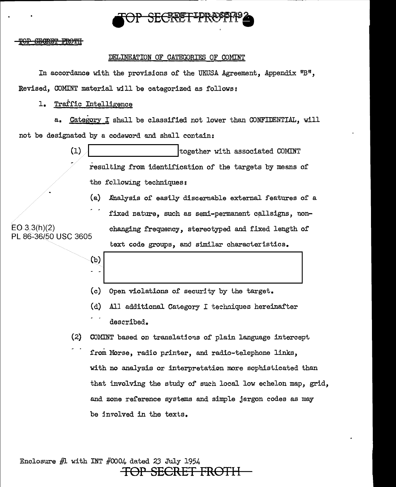

SEGRET FROTH

### DELilIBATION OF CATEGORIES OF COMINT

In accordance with the provisions of the UKUSA Agreement, Appendix  $"B"$ , Revised, COMINT material will be categorized as follows:

### 1. Traffic Intelligence

a. Category I shall be classified not lower than CONFIDENTIAL, will not be designated by a codeword and shall contain:

> (1) determining together with associated COMINT resulting from identification of the targets by means of the following techniques:

(a) Ahalysis of easily discernable external features of a

fixed nature, such as semi-permanent callsigns, non- $EO 3.3(h)(2)$  changing frequency, stereotyped and flixed length of text code groups, and similar characteristics.

PL 86-36/50 USC 3605

- (b)<br>2.1  $\left\{\n \begin{array}{ccc}\n \text{(c)} & \text{(open violations of security by the target.}\n \end{array}\n\right.$
- (d) All additional Category I techniques hereinafter
- described.
- $(2)$  COMINT based on translations of plain language intercept from Morse, radio printer, and radio-telephone links, with no analysis or interpretation more sophisticated than that involving the study of such local low echelon map, grid, and zone reference systems and simple jargon codes as may be in7olved in the texts.

Enclosure  $#1$  with INT  $#0004$  dated 23 July 1954 **SECRET FRO**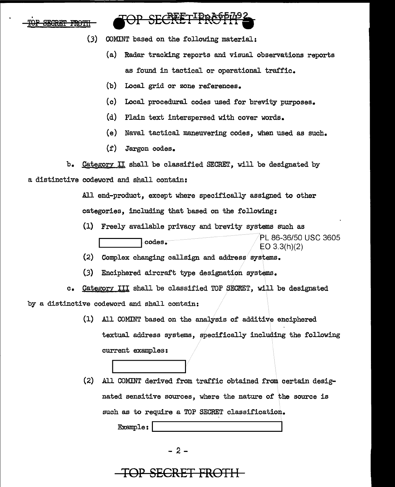

# SECRET PRC

- (.3) COMINT based on the rollowing material:
	- (a) Radar tracking reports and visual observations reports as found in tactical or operational traffic.
	- (b) Local grid or zone references.
	- (c) Local procedural codes used for brevity purposes.
	- (d) Plain text interspersed with cover words.
	- ( e) Naval tactical maneuvering codes, when used as such.
	- (f) Jargon codes.
- b. Category II shall be classiried SECRET, will be designated by a distinctive codeword and shall contain:

All end-product, except where specifically assigned to other categories, including that based on the following:

- (1) Freely available privacy and brevity systems such as eodes. 20150 USC 3605 EO 3.3(h)(2)
- (2) Complex changing callsign and address systems.
- $(3)$ Enciphered aircraft type designation systems.

c. Category III shall be classified TOP SECRET, will be designated by a distinctive codeword and shall contain:

- (1) All COMINT based on the analysis of additive enciphered textual address systems, specifically including the following current examples:
- (2) All COMINT derived from traffic obtained from. certain designated sensitive sources, where the nature of the source is such as to require a TOP SECRET classification.<br>
Example:

- 2 -

# TOP SECRET FROT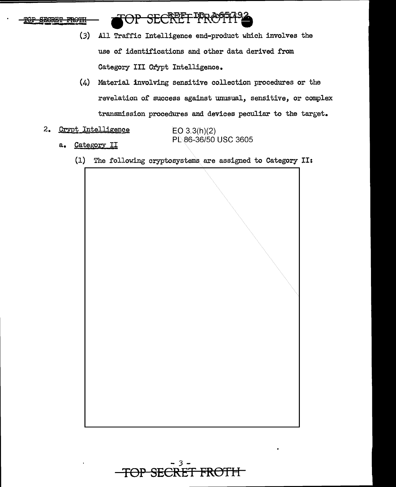



- $(3)$ All Traffic Intelligence end-product which involves the use of identifications and other data derived from Category III Crypt Intelligence.
- $(4)$  Material involving sensitive collection procedures or the revelation of success against unusual, sensitive, or complex transmission procedures and devices peculiar to the target.
- 2. Crypt Intelligence

 $EO$  3.3(h)(2) PL 86-36/50 USC 3605

- Category II  $a_{\bullet}$ 
	- $(1)$ The following cryptosystems are assigned to Category II:



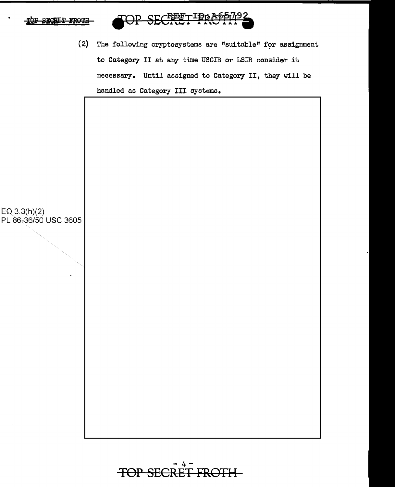

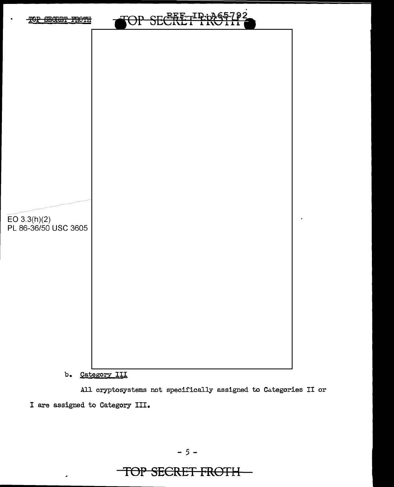

b. Category III

All cryptosystems not specifically assigned to Categories II or I are assigned to Category III.

TOP SECRET FROTH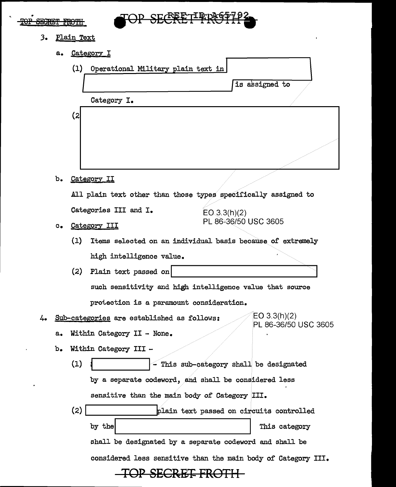#### •  $\overline{\text{roP}}$  Secret FROTH

 $\overline{a}$ 

 $\cdot$ 



- J. Plain Text
	- a. Category I

|                                               |                                                                | (1)                                                | Operational Military plain text in       |                                                            |  |  |
|-----------------------------------------------|----------------------------------------------------------------|----------------------------------------------------|------------------------------------------|------------------------------------------------------------|--|--|
|                                               |                                                                |                                                    |                                          | is assigned to                                             |  |  |
|                                               |                                                                |                                                    | Category I.                              |                                                            |  |  |
|                                               |                                                                | (2                                                 |                                          |                                                            |  |  |
|                                               |                                                                |                                                    |                                          |                                                            |  |  |
|                                               |                                                                |                                                    |                                          |                                                            |  |  |
|                                               |                                                                |                                                    |                                          |                                                            |  |  |
|                                               |                                                                |                                                    |                                          |                                                            |  |  |
|                                               | b.                                                             |                                                    | Category II                              |                                                            |  |  |
|                                               | All plain text other than those types specifically assigned to |                                                    |                                          |                                                            |  |  |
|                                               |                                                                |                                                    | Categories III and I.                    | EO(3.3(h)(2)                                               |  |  |
|                                               | $c_{\bullet}$                                                  | Category III                                       |                                          | PL 86-36/50 USC 3605                                       |  |  |
|                                               |                                                                | (1)                                                |                                          | Items selected on an individual basis because of extremely |  |  |
|                                               |                                                                |                                                    | high intelligence value.                 |                                                            |  |  |
|                                               |                                                                | (2)                                                | Plain text passed on                     |                                                            |  |  |
|                                               |                                                                |                                                    |                                          | such sensitivity and high intelligence value that source   |  |  |
|                                               |                                                                |                                                    | protection is a paramount consideration. |                                                            |  |  |
| ム.                                            | EO 3.3(h)(2)<br>Sub-categories are established as follows:     |                                                    |                                          |                                                            |  |  |
|                                               | а.                                                             | PL 86-36/50 USC 3605<br>Within Category II - None. |                                          |                                                            |  |  |
|                                               | b.                                                             | Within Category III                                |                                          |                                                            |  |  |
|                                               |                                                                | (1)<br>- This sub-category shall be designated     |                                          |                                                            |  |  |
|                                               | by a separate codeword, and shall be considered less           |                                                    |                                          |                                                            |  |  |
| sensitive than the main body of Category III. |                                                                |                                                    |                                          |                                                            |  |  |
|                                               |                                                                |                                                    |                                          |                                                            |  |  |
|                                               |                                                                | (2)                                                |                                          | plain text passed on circuits controlled                   |  |  |
|                                               |                                                                |                                                    | by the                                   | This category                                              |  |  |
|                                               |                                                                |                                                    |                                          | shall be designated by a separate codeword and shall be    |  |  |
|                                               | considered less sensitive than the main body of Category III.  |                                                    |                                          |                                                            |  |  |
| <b>SECRETE</b>                                |                                                                |                                                    |                                          |                                                            |  |  |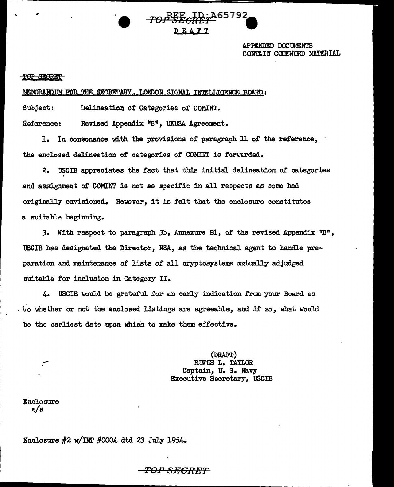APPENDED DOCUMENTS CONTAIN CODEWORD MATERIAL

- SBeft by Harris of the Station of the Station of the Station of the Station of the Station of the Station of the Station of the Station of the Station of the Station of the Station of the Station of the Station of the St

•

MEMORAND UM FOR THE SECRETARY, LONDON SIGNAL INTELLIGENCE BOARD:

Subject: Delineation of Categories of COMINT.

Reference: Revised Appendix "B", UKUSA Agreement.

1. In consonance with the provisions of paragraph 11 of the reference, the enclosed delineation *ot* categories of COMINT is forwarded.

2. USCIB appreciates the tact that this initial delineation of categories and assignment of COMINT is not as specific in all respects as some had originally envisioned. However, it is felt that the enclosure constitutes a suitable beginning.

3. With respect to paragraph 3b. Annexure Bl. of the revised Appendix "B", tBCIB has designated the Director, NSA, as the technical agent to handle preparation and maintenance or lists of all oryptosystems mutually adjudged suitable for inclusion in Category II.

4. USCIB vould be grateful for an early indication from your Board as . to whether or not the enclosed listings are agreeable, and if so, what would be the earliest date upon which to make them effective.

> {DRAFT) RUFUS L. TAYLOR Captain, u. s. Navy Executive Secretary, USCIB

*ro#\*eck2'j-A65192 •* 

DRAFT

Enclosure a/s

Enclosure  $#2$  w/INT  $#0004$  dtd 23 July 1954.

 $\it{TOP}\,SECREF$